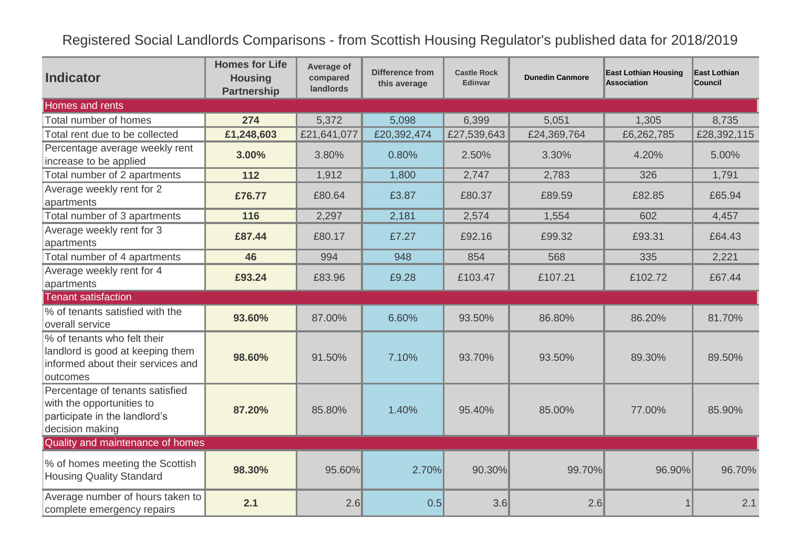Registered Social Landlords Comparisons - from Scottish Housing Regulator's published data for 2018/2019

| <b>Indicator</b>                                                                                                 | <b>Homes for Life</b><br><b>Housing</b><br><b>Partnership</b> | Average of<br>compared<br>landlords | <b>Difference from</b><br>this average | <b>Castle Rock</b><br>Edinvar | <b>Dunedin Canmore</b> | <b>East Lothian Housing</b><br><b>Association</b> | East Lothian<br>Council |  |  |  |  |
|------------------------------------------------------------------------------------------------------------------|---------------------------------------------------------------|-------------------------------------|----------------------------------------|-------------------------------|------------------------|---------------------------------------------------|-------------------------|--|--|--|--|
| Homes and rents                                                                                                  |                                                               |                                     |                                        |                               |                        |                                                   |                         |  |  |  |  |
| Total number of homes                                                                                            | 274                                                           | 5,372                               | 5,098                                  | 6,399                         | 5,051                  | 1,305                                             | 8,735                   |  |  |  |  |
| Total rent due to be collected                                                                                   | £1,248,603                                                    | £21,641,077                         | £20,392,474                            | £27,539,643                   | £24,369,764            | £6,262,785                                        | £28,392,115             |  |  |  |  |
| Percentage average weekly rent<br>increase to be applied                                                         | 3.00%                                                         | 3.80%                               | 0.80%                                  | 2.50%                         | 3.30%                  | 4.20%                                             | 5.00%                   |  |  |  |  |
| Total number of 2 apartments                                                                                     | 112                                                           | 1,912                               | 1,800                                  | 2,747                         | 2,783                  | 326                                               | 1,791                   |  |  |  |  |
| Average weekly rent for 2<br>apartments                                                                          | £76.77                                                        | £80.64                              | £3.87                                  | £80.37                        | £89.59                 | £82.85                                            | £65.94                  |  |  |  |  |
| Total number of 3 apartments                                                                                     | 116                                                           | 2,297                               | 2,181                                  | 2,574                         | 1,554                  | 602                                               | 4,457                   |  |  |  |  |
| Average weekly rent for 3<br>apartments                                                                          | £87.44                                                        | £80.17                              | £7.27                                  | £92.16                        | £99.32                 | £93.31                                            | £64.43                  |  |  |  |  |
| Total number of 4 apartments                                                                                     | 46                                                            | 994                                 | 948                                    | 854                           | 568                    | 335                                               | 2,221                   |  |  |  |  |
| Average weekly rent for 4<br>apartments                                                                          | £93.24                                                        | £83.96                              | £9.28                                  | £103.47                       | £107.21                | £102.72                                           | £67.44                  |  |  |  |  |
| <b>Tenant satisfaction</b>                                                                                       |                                                               |                                     |                                        |                               |                        |                                                   |                         |  |  |  |  |
| % of tenants satisfied with the<br>overall service                                                               | 93.60%                                                        | 87.00%                              | 6.60%                                  | 93.50%                        | 86.80%                 | 86.20%                                            | 81.70%                  |  |  |  |  |
| % of tenants who felt their<br>landlord is good at keeping them<br>informed about their services and<br>outcomes | 98.60%                                                        | 91.50%                              | 7.10%                                  | 93.70%                        | 93.50%                 | 89.30%                                            | 89.50%                  |  |  |  |  |
| Percentage of tenants satisfied<br>with the opportunities to<br>participate in the landlord's<br>decision making | 87.20%                                                        | 85.80%                              | 1.40%                                  | 95.40%                        | 85.00%                 | 77.00%                                            | 85.90%                  |  |  |  |  |
| Quality and maintenance of homes                                                                                 |                                                               |                                     |                                        |                               |                        |                                                   |                         |  |  |  |  |
| % of homes meeting the Scottish<br><b>Housing Quality Standard</b>                                               | 98.30%                                                        | 95.60%                              | 2.70%                                  | 90.30%                        | 99.70%                 | 96.90%                                            | 96.70%                  |  |  |  |  |
| Average number of hours taken to<br>complete emergency repairs                                                   | 2.1                                                           | 2.6                                 | 0.5                                    | 3.6                           | 2.6                    |                                                   | 2.1                     |  |  |  |  |